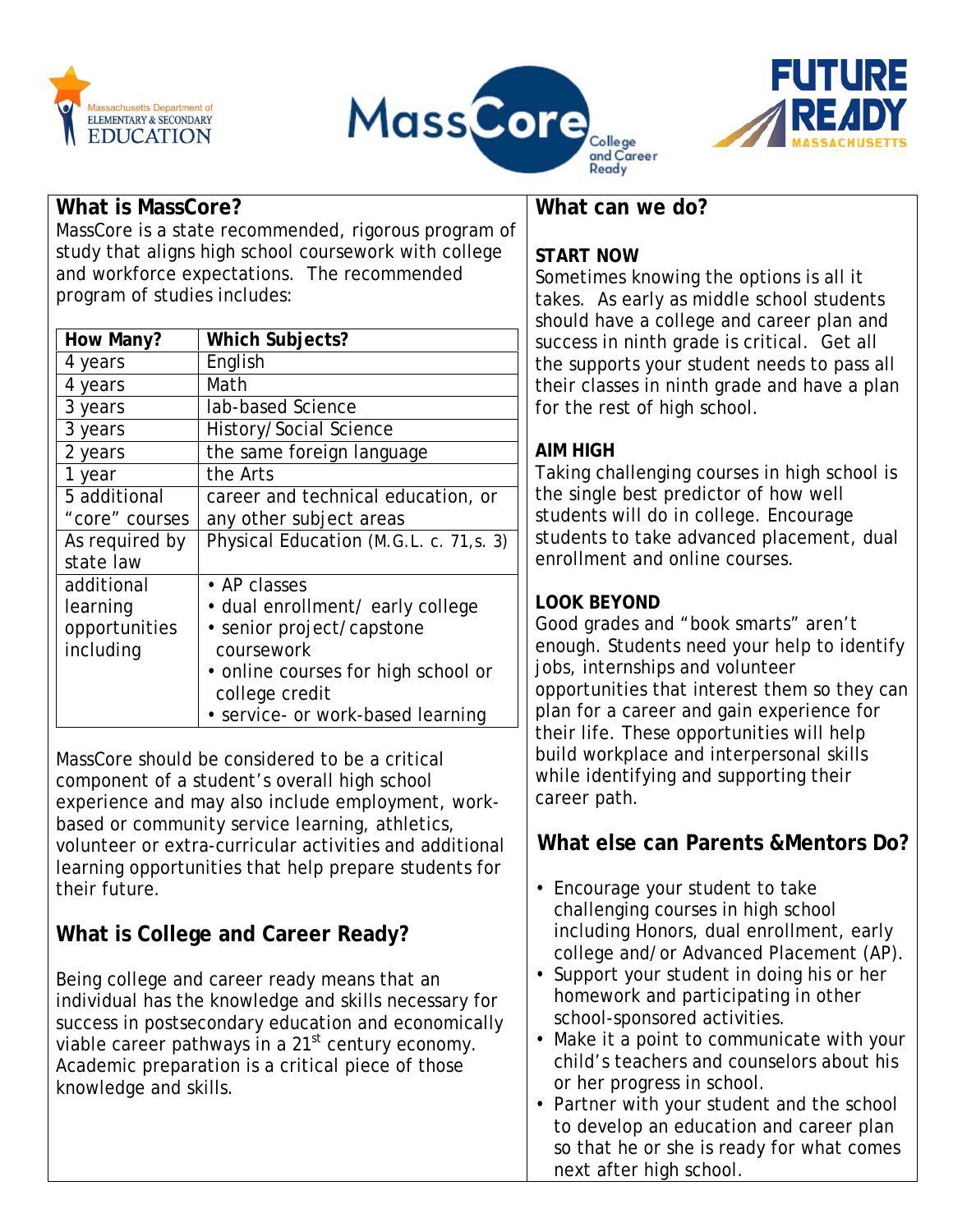





#### **What is MassCore?**

MassCore is a state recommended, rigorous program of study that aligns high school coursework with college and workforce expectations. The recommended program of studies includes:

| How Many?      | <b>Which Subjects?</b>                  |
|----------------|-----------------------------------------|
| 4 years        | English                                 |
| 4 years        | Math                                    |
| 3 years        | lab-based Science                       |
| 3 years        | History/Social Science                  |
| 2 years        | the same foreign language               |
| 1 year         | the Arts                                |
| 5 additional   | career and technical education, or      |
| "core" courses | any other subject areas                 |
| As required by | Physical Education (M.G.L. c. 71, s. 3) |
| state law      |                                         |
| additional     | $\cdot$ AP classes                      |
| learning       | • dual enrollment/ early college        |
| opportunities  | • senior project/capstone               |
| including      | coursework                              |
|                | • online courses for high school or     |
|                | college credit                          |
|                | • service- or work-based learning       |

MassCore should be considered to be a critical component of a student's overall high school experience and may also include employment, workbased or community service learning, athletics, volunteer or extra-curricular activities and additional learning opportunities that help prepare students for their future.

## **What is College and Career Ready?**

Being college and career ready means that an individual has the knowledge and skills necessary for success in postsecondary education and economically viable career pathways in a  $21<sup>st</sup>$  century economy. Academic preparation is a critical piece of those knowledge and skills.

## **What can we do?**

## **START NOW**

Sometimes knowing the options is all it takes. As early as middle school students should have a college and career plan and success in ninth grade is critical. Get all the supports your student needs to pass all their classes in ninth grade and have a plan for the rest of high school.

### **AIM HIGH**

Taking challenging courses in high school is the single best predictor of how well students will do in college. Encourage students to take advanced placement, dual enrollment and online courses.

## **LOOK BEYOND**

Good grades and "book smarts" aren't enough. Students need your help to identify jobs, internships and volunteer opportunities that interest them so they can plan for a career and gain experience for their life. These opportunities will help build workplace and interpersonal skills while identifying and supporting their career path.

## **What else can Parents &Mentors Do?**

- Encourage your student to take challenging courses in high school including Honors, dual enrollment, early college and/or Advanced Placement (AP).
- Support your student in doing his or her homework and participating in other school-sponsored activities.
- Make it a point to communicate with your child's teachers and counselors about his or her progress in school.
- Partner with your student and the school to develop an education and career plan so that he or she is ready for what comes next after high school.